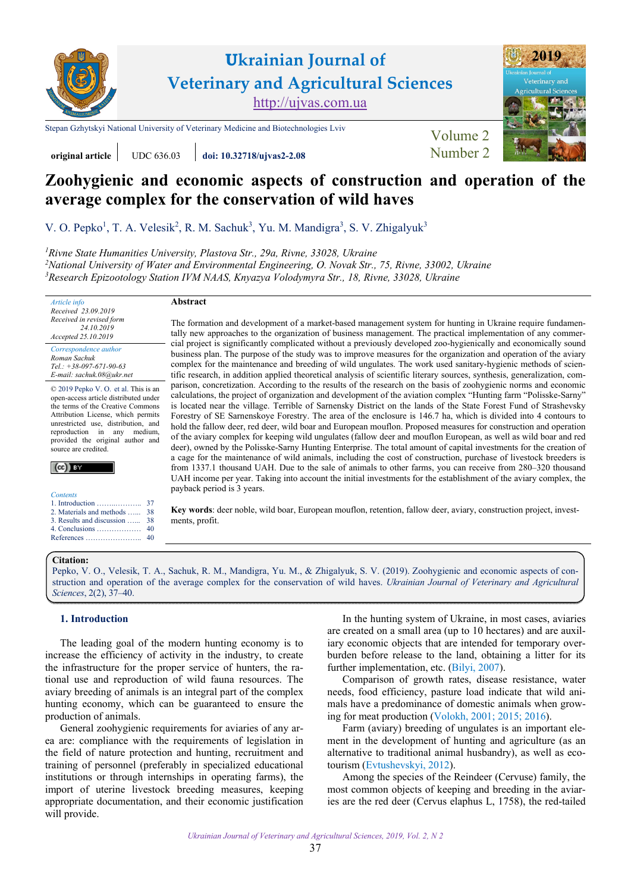

**Ukrainian Journal of Veterinary and Agricultural Sciences** <http://ujvas.com.ua>

[Stepan Gzhytskyi National University of Veterinary Medicine and Biotechnologies Lviv](https://lvet.edu.ua) Volume 2



# **Zoohygienic and economic aspects of construction and operation of the average complex for the conservation of wild haves**

V. O. Pepko<sup>1</sup>, T. A. Velesik<sup>2</sup>, R. M. Sachuk<sup>3</sup>, Yu. M. Mandigra<sup>3</sup>, S. V. Zhigalyuk<sup>3</sup>

<sup>1</sup> Rivne State Humanities University, Plastova Str., 29a, Rivne, 33028, Ukraine

*2 [National University of Water and Environmental Engineering, O. Novak Str., 75, Rivne, 33002, Ukraine](http://nuwm.edu.ua)*  <sup>3</sup> Research Epizootology Station IVM NAAS, Knyazya Volodymyra Str., 18, Rivne, 33028, Ukraine

**original article** UDC 636.03 **[doi: 10.32718/ujvas2-2.08](https://doi.org/10.32718/10.32718/ujvas2-2.08)** [Number 2](https://ujvas.com.ua/index.php/journal/issue/view/4)

*Article info Received 23.09.2019 Received in revised form 24.10.2019 Accepted 25.10.2019* 

*Correspondence author [Roman Sachuk](https://orcid.org/0000-0003-4532-4220)  Tel.: +38-097-671-90-63 E-mail: sachuk.08@ukr.net* 

© 2019 Pepko V. O. et al. This is an open-access article distributed under the terms of the Creative Commons Attribution License, which permits unrestricted use, distribution, and reproduction in any medium, provided the original author and source are credited.

 $(cc)$  BY

| Contents |
|----------|
|          |

| 2. Materials and methods  38             |    |
|------------------------------------------|----|
| 3. Results and discussion  38            |    |
| 4. Conclusions $\dots \dots \dots \dots$ | 40 |
|                                          |    |

#### **Abstract**

The formation and development of a market-based management system for hunting in Ukraine require fundamentally new approaches to the organization of business management. The practical implementation of any commercial project is significantly complicated without a previously developed zoo-hygienically and economically sound business plan. The purpose of the study was to improve measures for the organization and operation of the aviary complex for the maintenance and breeding of wild ungulates. The work used sanitary-hygienic methods of scientific research, in addition applied theoretical analysis of scientific literary sources, synthesis, generalization, comparison, concretization. According to the results of the research on the basis of zoohygienic norms and economic calculations, the project of organization and development of the aviation complex "Hunting farm "Polisske-Sarny" is located near the village. Terrible of Sarnensky District on the lands of the State Forest Fund of Strashevsky Forestry of SE Sarnenskoye Forestry. The area of the enclosure is 146.7 ha, which is divided into 4 contours to hold the fallow deer, red deer, wild boar and European mouflon. Proposed measures for construction and operation of the aviary complex for keeping wild ungulates (fallow deer and mouflon European, as well as wild boar and red deer), owned by the Polisske-Sarny Hunting Enterprise. The total amount of capital investments for the creation of a cage for the maintenance of wild animals, including the cost of construction, purchase of livestock breeders is from 1337.1 thousand UAH. Due to the sale of animals to other farms, you can receive from 280–320 thousand UAH income per year. Taking into account the initial investments for the establishment of the aviary complex, the payback period is 3 years.

**Key words**: deer noble, wild boar, European mouflon, retention, fallow deer, aviary, construction project, investments, profit.

#### **Citation:**

[Pepko, V. O., Velesik, T. A., Sachuk, R. M., Mandigra, Yu. M., & Zhigalyuk, S. V. \(2019\). Zoohygienic and economic aspects of con](https://doi.org/10.32718/10.32718/ujvas2-2.08)struction and operation of the average complex for the conservation of wild haves. *Ukrainian Journal of Veterinary and Agricultural Sciences*, 2(2), 37–40.

# **1. Introduction**

The leading goal of the modern hunting economy is to increase the efficiency of activity in the industry, to create the infrastructure for the proper service of hunters, the rational use and reproduction of wild fauna resources. The aviary breeding of animals is an integral part of the complex hunting economy, which can be guaranteed to ensure the production of animals.

General zoohygienic requirements for aviaries of any area are: compliance with the requirements of legislation in the field of nature protection and hunting, recruitment and training of personnel (preferably in specialized educational institutions or through internships in operating farms), the import of uterine livestock breeding measures, keeping appropriate documentation, and their economic justification will provide.

In the hunting system of Ukraine, in most cases, aviaries are created on a small area (up to 10 hectares) and are auxiliary economic objects that are intended for temporary overburden before release to the land, obtaining a litter for its further implementation, etc. [\(Bilyi, 2007](#page-3-0)).

Comparison of growth rates, disease resistance, water needs, food efficiency, pasture load indicate that wild animals have a predominance of domestic animals when growing for meat production ([Volokh, 2001;](#page-3-0) [2015; 2016](#page-3-0)).

Farm (aviary) breeding of ungulates is an important element in the development of hunting and agriculture (as an alternative to traditional animal husbandry), as well as ecotourism [\(Evtushevskyi, 2012](#page-3-0)).

Among the species of the Reindeer (Cervuse) family, the most common objects of keeping and breeding in the aviaries are the red deer (Cervus elaphus L, 1758), the red-tailed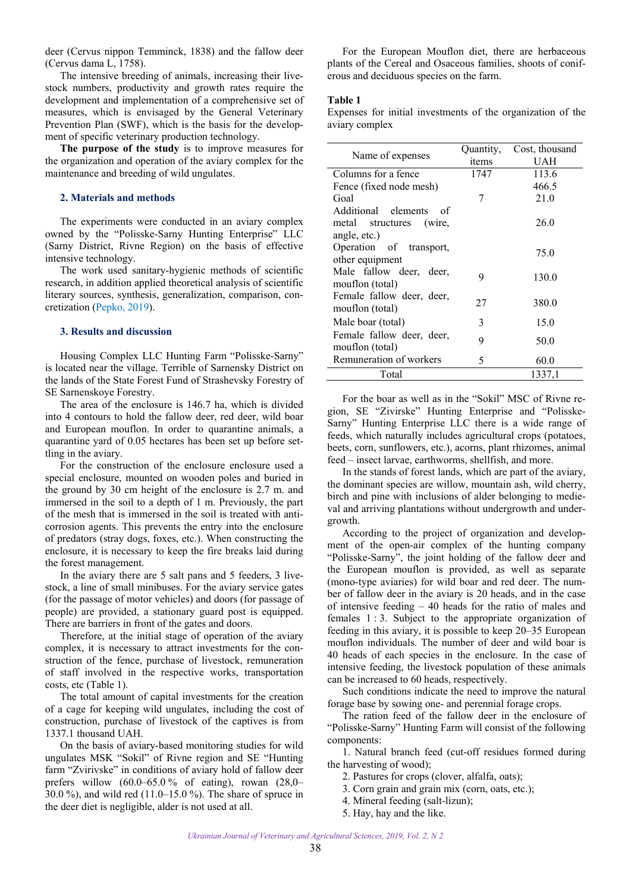<span id="page-1-0"></span>deer (Cervus nippon Temminck, 1838) and the fallow deer (Cervus dama L, 1758).

The intensive breeding of animals, increasing their livestock numbers, productivity and growth rates require the development and implementation of a comprehensive set of measures, which is envisaged by the General Veterinary Prevention Plan (SWF), which is the basis for the development of specific veterinary production technology.

**The purpose of the study** is to improve measures for the organization and operation of the aviary complex for the maintenance and breeding of wild ungulates.

#### **2. Materials and methods**

The experiments were conducted in an aviary complex owned by the "Polisske-Sarny Hunting Enterprise" LLC (Sarny District, Rivne Region) on the basis of effective intensive technology.

The work used sanitary-hygienic methods of scientific research, in addition applied theoretical analysis of scientific literary sources, synthesis, generalization, comparison, concretization ([Pepko, 2019\)](#page-3-0).

#### **3. Results and discussion**

Housing Complex LLC Hunting Farm "Polisske-Sarny" is located near the village. Terrible of Sarnensky District on the lands of the State Forest Fund of Strashevsky Forestry of SE Sarnenskoye Forestry.

The area of the enclosure is 146.7 ha, which is divided into 4 contours to hold the fallow deer, red deer, wild boar and European mouflon. In order to quarantine animals, a quarantine yard of 0.05 hectares has been set up before settling in the aviary.

For the construction of the enclosure enclosure used a special enclosure, mounted on wooden poles and buried in the ground by 30 cm height of the enclosure is 2.7 m. and immersed in the soil to a depth of 1 m. Previously, the part of the mesh that is immersed in the soil is treated with anticorrosion agents. This prevents the entry into the enclosure of predators (stray dogs, foxes, etc.). When constructing the enclosure, it is necessary to keep the fire breaks laid during the forest management.

In the aviary there are 5 salt pans and 5 feeders, 3 livestock, a line of small minibuses. For the aviary service gates (for the passage of motor vehicles) and doors (for passage of people) are provided, a stationary guard post is equipped. There are barriers in front of the gates and doors.

Therefore, at the initial stage of operation of the aviary complex, it is necessary to attract investments for the construction of the fence, purchase of livestock, remuneration of staff involved in the respective works, transportation costs, etc (Table 1).

The total amount of capital investments for the creation of a cage for keeping wild ungulates, including the cost of construction, purchase of livestock of the captives is from 1337.1 thousand UAH.

On the basis of aviary-based monitoring studies for wild ungulates MSK "Sokil" of Rivne region and SE "Hunting farm "Zvirivske" in conditions of aviary hold of fallow deer prefers willow  $(60.0-65.0\% \text{ of eating})$ , rowan  $(28.0-$ 30.0 %), and wild red (11.0–15.0 %). The share of spruce in the deer diet is negligible, alder is not used at all.

For the European Mouflon diet, there are herbaceous plants of the Cereal and Osaceous families, shoots of coniferous and deciduous species on the farm.

## **Table 1**

Expenses for initial investments of the organization of the aviary complex

| Name of expenses            | Quantity, | Cost, thousand |
|-----------------------------|-----------|----------------|
|                             | items     | UAH            |
| Columns for a fence         | 1747      | 113.6          |
| Fence (fixed node mesh)     |           | 466.5          |
| Goal                        | 7         | 21.0           |
| Additional elements<br>- of |           |                |
| metal structures<br>(wire,  |           | 26.0           |
| angle, etc.)                |           |                |
| Operation of transport,     |           | 75.0           |
| other equipment             |           |                |
| Male fallow deer, deer,     | 9         | 130.0          |
| mouflon (total)             |           |                |
| Female fallow deer, deer,   | 27        | 380.0          |
| mouflon (total)             |           |                |
| Male boar (total)           | 3         | 15.0           |
| Female fallow deer, deer,   | 9         | 50.0           |
| mouflon (total)             |           |                |
| Remuneration of workers     | 5         | 60.0           |
| Total                       |           | 1337,1         |

For the boar as well as in the "Sokil" MSC of Rivne region, SE "Zivirske" Hunting Enterprise and "Polisske-Sarny" Hunting Enterprise LLC there is a wide range of feeds, which naturally includes agricultural crops (potatoes, beets, corn, sunflowers, etc.), acorns, plant rhizomes, animal feed – insect larvae, earthworms, shellfish, and more.

In the stands of forest lands, which are part of the aviary, the dominant species are willow, mountain ash, wild cherry, birch and pine with inclusions of alder belonging to medieval and arriving plantations without undergrowth and undergrowth.

According to the project of organization and development of the open-air complex of the hunting company "Polisske-Sarny", the joint holding of the fallow deer and the European mouflon is provided, as well as separate (mono-type aviaries) for wild boar and red deer. The number of fallow deer in the aviary is 20 heads, and in the case of intensive feeding – 40 heads for the ratio of males and females 1 : 3. Subject to the appropriate organization of feeding in this aviary, it is possible to keep 20–35 European mouflon individuals. The number of deer and wild boar is 40 heads of each species in the enclosure. In the case of intensive feeding, the livestock population of these animals can be increased to 60 heads, respectively.

Such conditions indicate the need to improve the natural forage base by sowing one- and perennial forage crops.

The ration feed of the fallow deer in the enclosure of "Polisske-Sarny" Hunting Farm will consist of the following components:

1. Natural branch feed (cut-off residues formed during the harvesting of wood);

2. Pastures for crops (clover, alfalfa, oats);

3. Corn grain and grain mix (corn, oats, etc.);

4. Mineral feeding (salt-lizun);

5. Hay, hay and the like.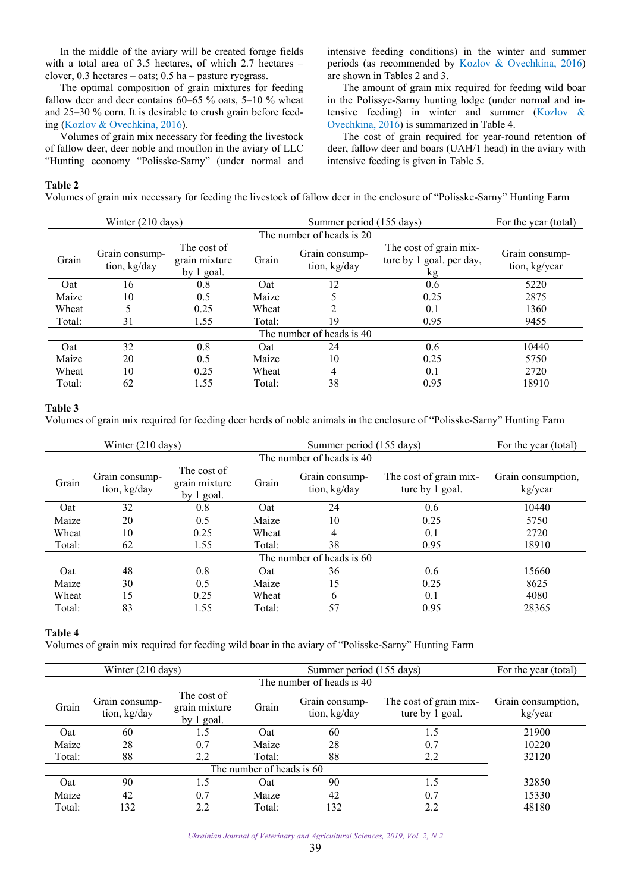In the middle of the aviary will be created forage fields with a total area of 3.5 hectares, of which 2.7 hectares – clover, 0.3 hectares – oats; 0.5 ha – pasture ryegrass.

The optimal composition of grain mixtures for feeding fallow deer and deer contains 60–65 % oats, 5–10 % wheat and 25–30 % corn. It is desirable to crush grain before feeding [\(Kozlov & Ovechkina, 2016\)](#page-3-0).

Volumes of grain mix necessary for feeding the livestock of fallow deer, deer noble and mouflon in the aviary of LLC "Hunting economy "Polisske-Sarny" (under normal and intensive feeding conditions) in the winter and summer periods (as recommended by [Kozlov & Ovechkina, 2016](#page-3-0)) are shown in Tables 2 and 3.

The amount of grain mix required for feeding wild boar in the Polissye-Sarny hunting lodge (under normal and intensive feeding) in winter and summer ([Kozlov &](#page-3-0)  [Ovechkina, 2016](#page-3-0)) is summarized in Table 4.

The cost of grain required for year-round retention of deer, fallow deer and boars (UAH/1 head) in the aviary with intensive feeding is given in Table 5.

#### **Table 2**

Volumes of grain mix necessary for feeding the livestock of fallow deer in the enclosure of "Polisske-Sarny" Hunting Farm

|                           | Winter (210 days)              |                                            | Summer period (155 days) |                                |                                                          | For the year (total)            |
|---------------------------|--------------------------------|--------------------------------------------|--------------------------|--------------------------------|----------------------------------------------------------|---------------------------------|
|                           |                                |                                            |                          | The number of heads is 20      |                                                          |                                 |
| Grain                     | Grain consump-<br>tion, kg/day | The cost of<br>grain mixture<br>by 1 goal. | Grain                    | Grain consump-<br>tion, kg/day | The cost of grain mix-<br>ture by 1 goal. per day,<br>kg | Grain consump-<br>tion, kg/year |
| Oat                       | 16                             | 0.8                                        | Oat                      | 12                             | 0.6                                                      | 5220                            |
| Maize                     | 10                             | 0.5                                        | Maize                    |                                | 0.25                                                     | 2875                            |
| Wheat                     |                                | 0.25                                       | Wheat                    |                                | 0.1                                                      | 1360                            |
| Total:                    | 31                             | 1.55                                       | Total:                   | 19                             | 0.95                                                     | 9455                            |
| The number of heads is 40 |                                |                                            |                          |                                |                                                          |                                 |
| Oat                       | 32                             | 0.8                                        | Oat                      | 24                             | 0.6                                                      | 10440                           |
| Maize                     | 20                             | 0.5                                        | Maize                    | 10                             | 0.25                                                     | 5750                            |
| Wheat                     | 10                             | 0.25                                       | Wheat                    | 4                              | 0.1                                                      | 2720                            |
| Total:                    | 62                             | 1.55                                       | Total:                   | 38                             | 0.95                                                     | 18910                           |

#### **Table 3**

Volumes of grain mix required for feeding deer herds of noble animals in the enclosure of "Polisske-Sarny" Hunting Farm

|                           | Winter (210 days)              |                                            | Summer period (155 days) |                                |                                           | For the year (total)          |  |
|---------------------------|--------------------------------|--------------------------------------------|--------------------------|--------------------------------|-------------------------------------------|-------------------------------|--|
|                           | The number of heads is 40      |                                            |                          |                                |                                           |                               |  |
| Grain                     | Grain consump-<br>tion, kg/day | The cost of<br>grain mixture<br>by 1 goal. | Grain                    | Grain consump-<br>tion, kg/day | The cost of grain mix-<br>ture by 1 goal. | Grain consumption,<br>kg/year |  |
| Oat                       | 32                             | 0.8                                        | Oat                      | 24                             | 0.6                                       | 10440                         |  |
| Maize                     | 20                             | 0.5                                        | Maize                    | 10                             | 0.25                                      | 5750                          |  |
| Wheat                     | 10                             | 0.25                                       | Wheat                    | 4                              | 0.1                                       | 2720                          |  |
| Total:                    | 62                             | 1.55                                       | Total:                   | 38                             | 0.95                                      | 18910                         |  |
| The number of heads is 60 |                                |                                            |                          |                                |                                           |                               |  |
| Oat                       | 48                             | 0.8                                        | Oat                      | 36                             | $0.6^{\circ}$                             | 15660                         |  |
| Maize                     | 30                             | 0.5                                        | Maize                    | 15                             | 0.25                                      | 8625                          |  |
| Wheat                     | 15                             | 0.25                                       | Wheat                    | 6                              | 0.1                                       | 4080                          |  |
| Total:                    | 83                             | 1.55                                       | Total:                   | 57                             | 0.95                                      | 28365                         |  |

#### **Table 4**

Volumes of grain mix required for feeding wild boar in the aviary of "Polisske-Sarny" Hunting Farm

|                           | Winter $(210 \text{ days})$    |                                            | Summer period (155 days) |                                |                                           | For the year (total)          |  |  |
|---------------------------|--------------------------------|--------------------------------------------|--------------------------|--------------------------------|-------------------------------------------|-------------------------------|--|--|
|                           | The number of heads is 40      |                                            |                          |                                |                                           |                               |  |  |
| Grain                     | Grain consump-<br>tion, kg/day | The cost of<br>grain mixture<br>by 1 goal. | Grain                    | Grain consump-<br>tion, kg/day | The cost of grain mix-<br>ture by 1 goal. | Grain consumption,<br>kg/year |  |  |
| Oat                       | 60                             | 1.5                                        | Oat                      | 60                             | 1.5                                       | 21900                         |  |  |
| Maize                     | 28                             | 0.7                                        | Maize                    | 28                             | 0.7                                       | 10220                         |  |  |
| Total:                    | 88                             | 2.2                                        | Total:                   | 88                             | 2.2                                       | 32120                         |  |  |
| The number of heads is 60 |                                |                                            |                          |                                |                                           |                               |  |  |
| Oat                       | 90                             | 1.5                                        | Oat                      | 90                             | 1.5                                       | 32850                         |  |  |
| Maize                     | 42                             | 0.7                                        | Maize                    | 42                             | 0.7                                       | 15330                         |  |  |
| Total:                    | 132                            | 2.2                                        | Total:                   | 132                            | 2.2                                       | 48180                         |  |  |